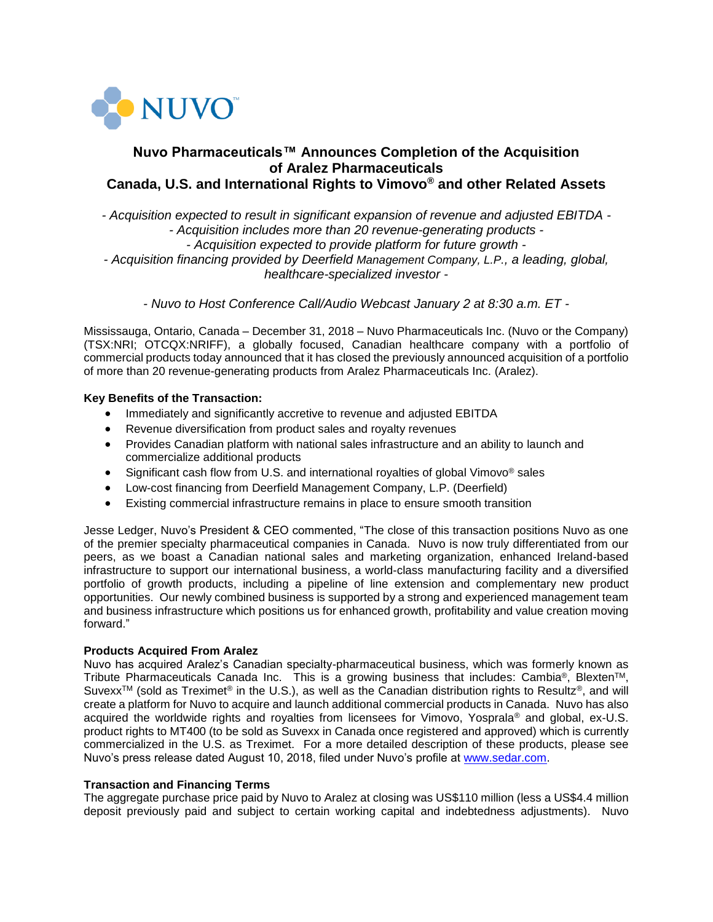

# **Nuvo Pharmaceuticals™ Announces Completion of the Acquisition of Aralez Pharmaceuticals Canada, U.S. and International Rights to Vimovo® and other Related Assets**

*- Acquisition expected to result in significant expansion of revenue and adjusted EBITDA - - Acquisition includes more than 20 revenue-generating products - - Acquisition expected to provide platform for future growth - - Acquisition financing provided by Deerfield Management Company, L.P., a leading, global, healthcare-specialized investor -*

*- Nuvo to Host Conference Call/Audio Webcast January 2 at 8:30 a.m. ET -*

Mississauga, Ontario, Canada – December 31, 2018 – Nuvo Pharmaceuticals Inc. (Nuvo or the Company) (TSX:NRI; OTCQX:NRIFF), a globally focused, Canadian healthcare company with a portfolio of commercial products today announced that it has closed the previously announced acquisition of a portfolio of more than 20 revenue-generating products from Aralez Pharmaceuticals Inc. (Aralez).

## **Key Benefits of the Transaction:**

- Immediately and significantly accretive to revenue and adjusted EBITDA
- Revenue diversification from product sales and royalty revenues
- Provides Canadian platform with national sales infrastructure and an ability to launch and commercialize additional products
- Significant cash flow from U.S. and international royalties of global Vimovo<sup>®</sup> sales
- Low-cost financing from Deerfield Management Company, L.P. (Deerfield)
- Existing commercial infrastructure remains in place to ensure smooth transition

Jesse Ledger, Nuvo's President & CEO commented, "The close of this transaction positions Nuvo as one of the premier specialty pharmaceutical companies in Canada. Nuvo is now truly differentiated from our peers, as we boast a Canadian national sales and marketing organization, enhanced Ireland-based infrastructure to support our international business, a world-class manufacturing facility and a diversified portfolio of growth products, including a pipeline of line extension and complementary new product opportunities. Our newly combined business is supported by a strong and experienced management team and business infrastructure which positions us for enhanced growth, profitability and value creation moving forward."

### **Products Acquired From Aralez**

Nuvo has acquired Aralez's Canadian specialty-pharmaceutical business, which was formerly known as Tribute Pharmaceuticals Canada Inc. This is a growing business that includes: Cambia®, Blexten<sup>TM</sup>, Suvexx<sup>TM</sup> (sold as Treximet<sup>®</sup> in the U.S.), as well as the Canadian distribution rights to Resultz<sup>®</sup>, and will create a platform for Nuvo to acquire and launch additional commercial products in Canada. Nuvo has also acquired the worldwide rights and royalties from licensees for Vimovo, Yosprala® and global, ex-U.S. product rights to MT400 (to be sold as Suvexx in Canada once registered and approved) which is currently commercialized in the U.S. as Treximet. For a more detailed description of these products, please see Nuvo's press release dated August 10, 2018, filed under Nuvo's profile at [www.sedar.com.](https://www.sedar.com/)

### **Transaction and Financing Terms**

The aggregate purchase price paid by Nuvo to Aralez at closing was US\$110 million (less a US\$4.4 million deposit previously paid and subject to certain working capital and indebtedness adjustments). Nuvo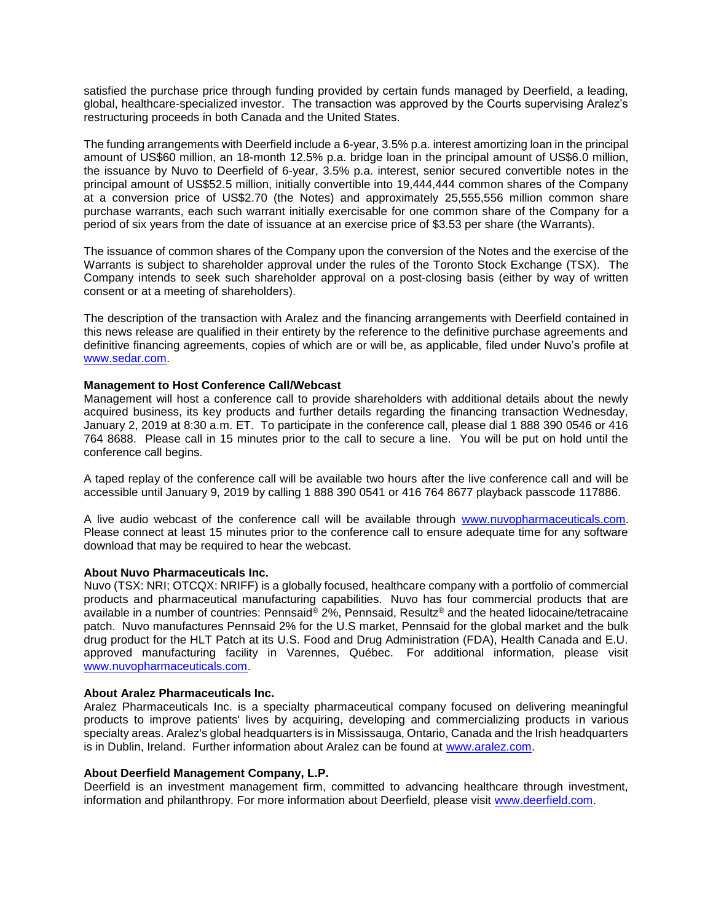satisfied the purchase price through funding provided by certain funds managed by Deerfield, a leading, global, healthcare-specialized investor. The transaction was approved by the Courts supervising Aralez's restructuring proceeds in both Canada and the United States.

The funding arrangements with Deerfield include a 6-year, 3.5% p.a. interest amortizing loan in the principal amount of US\$60 million, an 18-month 12.5% p.a. bridge loan in the principal amount of US\$6.0 million, the issuance by Nuvo to Deerfield of 6-year, 3.5% p.a. interest, senior secured convertible notes in the principal amount of US\$52.5 million, initially convertible into 19,444,444 common shares of the Company at a conversion price of US\$2.70 (the Notes) and approximately 25,555,556 million common share purchase warrants, each such warrant initially exercisable for one common share of the Company for a period of six years from the date of issuance at an exercise price of \$3.53 per share (the Warrants).

The issuance of common shares of the Company upon the conversion of the Notes and the exercise of the Warrants is subject to shareholder approval under the rules of the Toronto Stock Exchange (TSX). The Company intends to seek such shareholder approval on a post-closing basis (either by way of written consent or at a meeting of shareholders).

The description of the transaction with Aralez and the financing arrangements with Deerfield contained in this news release are qualified in their entirety by the reference to the definitive purchase agreements and definitive financing agreements, copies of which are or will be, as applicable, filed under Nuvo's profile at [www.sedar.com.](https://www.sedar.com/)

### **Management to Host Conference Call/Webcast**

Management will host a conference call to provide shareholders with additional details about the newly acquired business, its key products and further details regarding the financing transaction Wednesday, January 2, 2019 at 8:30 a.m. ET. To participate in the conference call, please dial 1 888 390 0546 or 416 764 8688. Please call in 15 minutes prior to the call to secure a line. You will be put on hold until the conference call begins.

A taped replay of the conference call will be available two hours after the live conference call and will be accessible until January 9, 2019 by calling 1 888 390 0541 or 416 764 8677 playback passcode 117886.

A live audio webcast of the conference call will be available through [www.nuvopharmaceuticals.com.](http://www.nuvopharmaceuticals.com/) Please connect at least 15 minutes prior to the conference call to ensure adequate time for any software download that may be required to hear the webcast.

### **About Nuvo Pharmaceuticals Inc.**

Nuvo (TSX: NRI; OTCQX: NRIFF) is a globally focused, healthcare company with a portfolio of commercial products and pharmaceutical manufacturing capabilities. Nuvo has four commercial products that are available in a number of countries: Pennsaid® 2%, Pennsaid, Resultz® and the heated lidocaine/tetracaine patch. Nuvo manufactures Pennsaid 2% for the U.S market, Pennsaid for the global market and the bulk drug product for the HLT Patch at its U.S. Food and Drug Administration (FDA), Health Canada and E.U. approved manufacturing facility in Varennes, Québec. For additional information, please visit [www.nuvopharmaceuticals.com.](http://www.nuvopharmaceuticals.com/)

#### **About Aralez Pharmaceuticals Inc.**

Aralez Pharmaceuticals Inc. is a specialty pharmaceutical company focused on delivering meaningful products to improve patients' lives by acquiring, developing and commercializing products in various specialty areas. Aralez's global headquarters is in Mississauga, Ontario, Canada and the Irish headquarters is in Dublin, Ireland. Further information about Aralez can be found at [www.aralez.com.](http://www.aralez.com/)

### **About Deerfield Management Company, L.P.**

Deerfield is an investment management firm, committed to advancing healthcare through investment, information and philanthropy. For more information about Deerfield, please visit [www.deerfield.com.](http://www.deerfield.com/)